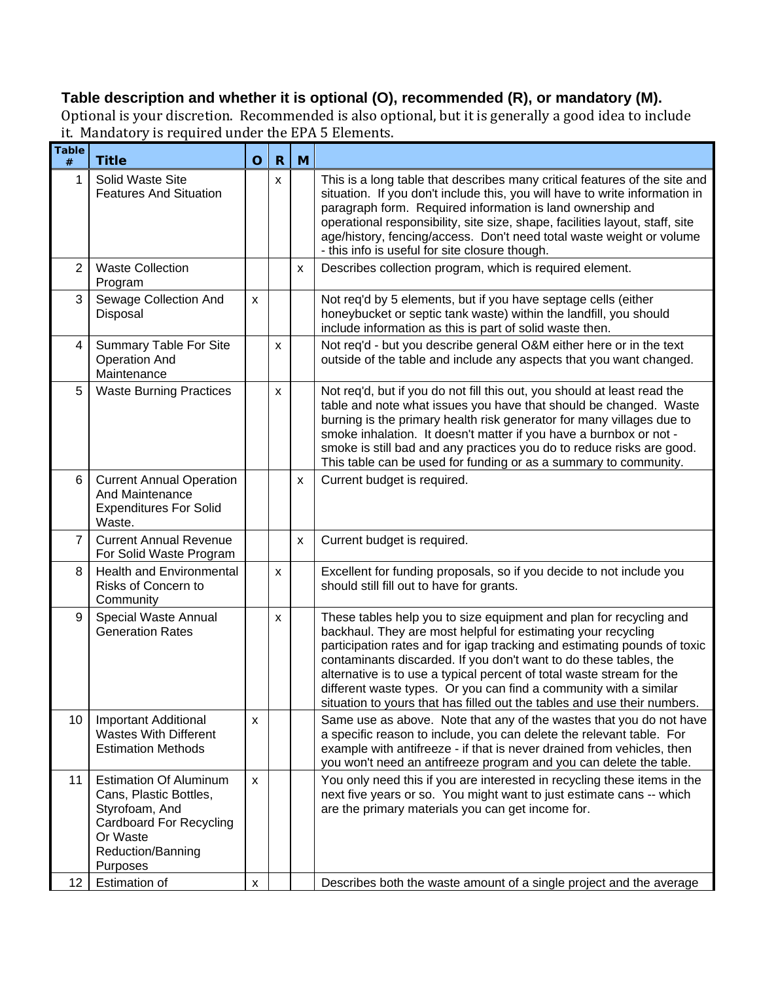## **Table description and whether it is optional (O), recommended (R), or mandatory (M).**

Optional is your discretion. Recommended is also optional, but it is generally a good idea to include it. Mandatory is required under the EPA 5 Elements.

| <b>Table</b><br>$\#$ | <b>Title</b>                                                                                                                                             | $\mathbf O$        | $\mathbf R$        | M                         |                                                                                                                                                                                                                                                                                                                                                                                                                                                                                                                |
|----------------------|----------------------------------------------------------------------------------------------------------------------------------------------------------|--------------------|--------------------|---------------------------|----------------------------------------------------------------------------------------------------------------------------------------------------------------------------------------------------------------------------------------------------------------------------------------------------------------------------------------------------------------------------------------------------------------------------------------------------------------------------------------------------------------|
| 1                    | Solid Waste Site<br><b>Features And Situation</b>                                                                                                        |                    | X.                 |                           | This is a long table that describes many critical features of the site and<br>situation. If you don't include this, you will have to write information in<br>paragraph form. Required information is land ownership and<br>operational responsibility, site size, shape, facilities layout, staff, site<br>age/history, fencing/access. Don't need total waste weight or volume<br>- this info is useful for site closure though.                                                                              |
| 2                    | <b>Waste Collection</b><br>Program                                                                                                                       |                    |                    | $\boldsymbol{\mathsf{x}}$ | Describes collection program, which is required element.                                                                                                                                                                                                                                                                                                                                                                                                                                                       |
| 3                    | Sewage Collection And<br>Disposal                                                                                                                        | $\pmb{\times}$     |                    |                           | Not req'd by 5 elements, but if you have septage cells (either<br>honeybucket or septic tank waste) within the landfill, you should<br>include information as this is part of solid waste then.                                                                                                                                                                                                                                                                                                                |
| $\overline{4}$       | Summary Table For Site<br><b>Operation And</b><br>Maintenance                                                                                            |                    | X                  |                           | Not req'd - but you describe general O&M either here or in the text<br>outside of the table and include any aspects that you want changed.                                                                                                                                                                                                                                                                                                                                                                     |
| 5                    | <b>Waste Burning Practices</b>                                                                                                                           |                    | X                  |                           | Not req'd, but if you do not fill this out, you should at least read the<br>table and note what issues you have that should be changed. Waste<br>burning is the primary health risk generator for many villages due to<br>smoke inhalation. It doesn't matter if you have a burnbox or not -<br>smoke is still bad and any practices you do to reduce risks are good.<br>This table can be used for funding or as a summary to community.                                                                      |
| 6                    | <b>Current Annual Operation</b><br>And Maintenance<br><b>Expenditures For Solid</b><br>Waste.                                                            |                    |                    | X                         | Current budget is required.                                                                                                                                                                                                                                                                                                                                                                                                                                                                                    |
| $\overline{7}$       | <b>Current Annual Revenue</b><br>For Solid Waste Program                                                                                                 |                    |                    | X                         | Current budget is required.                                                                                                                                                                                                                                                                                                                                                                                                                                                                                    |
| 8                    | <b>Health and Environmental</b><br>Risks of Concern to<br>Community                                                                                      |                    | X                  |                           | Excellent for funding proposals, so if you decide to not include you<br>should still fill out to have for grants.                                                                                                                                                                                                                                                                                                                                                                                              |
| 9                    | Special Waste Annual<br><b>Generation Rates</b>                                                                                                          |                    | $\pmb{\mathsf{X}}$ |                           | These tables help you to size equipment and plan for recycling and<br>backhaul. They are most helpful for estimating your recycling<br>participation rates and for igap tracking and estimating pounds of toxic<br>contaminants discarded. If you don't want to do these tables, the<br>alternative is to use a typical percent of total waste stream for the<br>different waste types. Or you can find a community with a similar<br>situation to yours that has filled out the tables and use their numbers. |
| 10                   | <b>Important Additional</b><br><b>Wastes With Different</b><br><b>Estimation Methods</b>                                                                 | x                  |                    |                           | Same use as above. Note that any of the wastes that you do not have<br>a specific reason to include, you can delete the relevant table. For<br>example with antifreeze - if that is never drained from vehicles, then<br>you won't need an antifreeze program and you can delete the table.                                                                                                                                                                                                                    |
| 11                   | <b>Estimation Of Aluminum</b><br>Cans, Plastic Bottles,<br>Styrofoam, And<br><b>Cardboard For Recycling</b><br>Or Waste<br>Reduction/Banning<br>Purposes | X                  |                    |                           | You only need this if you are interested in recycling these items in the<br>next five years or so. You might want to just estimate cans -- which<br>are the primary materials you can get income for.                                                                                                                                                                                                                                                                                                          |
| $12 \,$              | Estimation of                                                                                                                                            | $\pmb{\mathsf{x}}$ |                    |                           | Describes both the waste amount of a single project and the average                                                                                                                                                                                                                                                                                                                                                                                                                                            |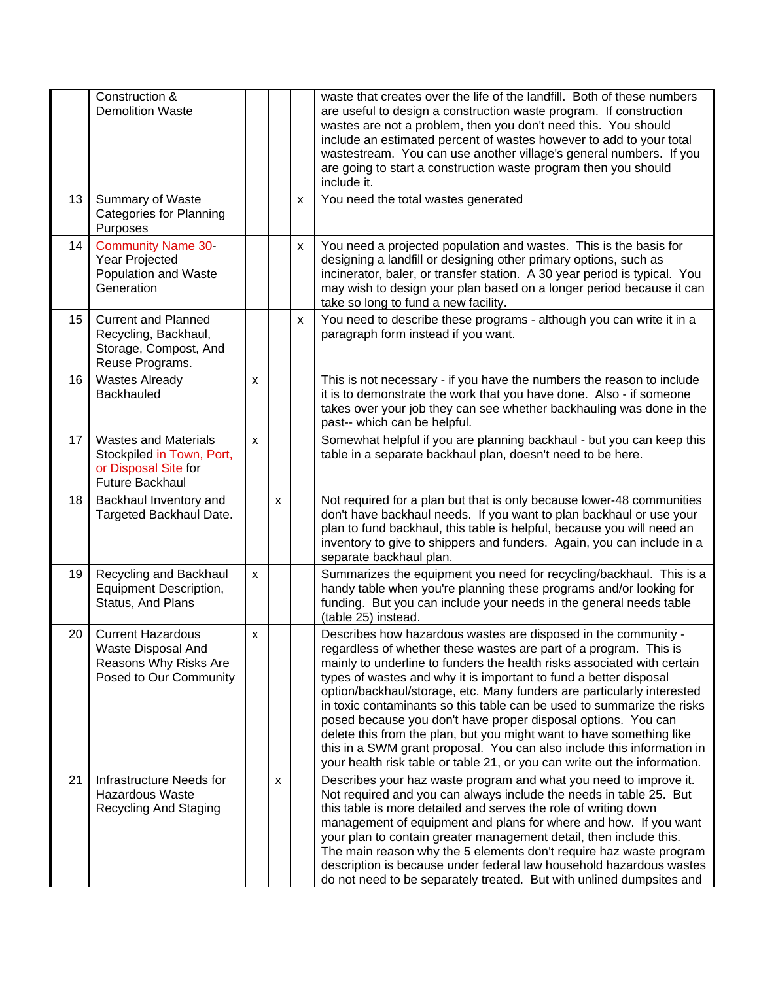|    | Construction &<br><b>Demolition Waste</b>                                                                  |                    |   |                           | waste that creates over the life of the landfill. Both of these numbers<br>are useful to design a construction waste program. If construction<br>wastes are not a problem, then you don't need this. You should<br>include an estimated percent of wastes however to add to your total<br>wastestream. You can use another village's general numbers. If you<br>are going to start a construction waste program then you should<br>include it.                                                                                                                                                                                                                                                                                          |
|----|------------------------------------------------------------------------------------------------------------|--------------------|---|---------------------------|-----------------------------------------------------------------------------------------------------------------------------------------------------------------------------------------------------------------------------------------------------------------------------------------------------------------------------------------------------------------------------------------------------------------------------------------------------------------------------------------------------------------------------------------------------------------------------------------------------------------------------------------------------------------------------------------------------------------------------------------|
| 13 | Summary of Waste<br><b>Categories for Planning</b><br>Purposes                                             |                    |   | $\boldsymbol{\mathsf{x}}$ | You need the total wastes generated                                                                                                                                                                                                                                                                                                                                                                                                                                                                                                                                                                                                                                                                                                     |
| 14 | <b>Community Name 30-</b><br>Year Projected<br>Population and Waste<br>Generation                          |                    |   | X                         | You need a projected population and wastes. This is the basis for<br>designing a landfill or designing other primary options, such as<br>incinerator, baler, or transfer station. A 30 year period is typical. You<br>may wish to design your plan based on a longer period because it can<br>take so long to fund a new facility.                                                                                                                                                                                                                                                                                                                                                                                                      |
| 15 | <b>Current and Planned</b><br>Recycling, Backhaul,<br>Storage, Compost, And<br>Reuse Programs.             |                    |   | X                         | You need to describe these programs - although you can write it in a<br>paragraph form instead if you want.                                                                                                                                                                                                                                                                                                                                                                                                                                                                                                                                                                                                                             |
| 16 | <b>Wastes Already</b><br><b>Backhauled</b>                                                                 | X                  |   |                           | This is not necessary - if you have the numbers the reason to include<br>it is to demonstrate the work that you have done. Also - if someone<br>takes over your job they can see whether backhauling was done in the<br>past-- which can be helpful.                                                                                                                                                                                                                                                                                                                                                                                                                                                                                    |
| 17 | <b>Wastes and Materials</b><br>Stockpiled in Town, Port,<br>or Disposal Site for<br><b>Future Backhaul</b> | $\mathsf{x}$       |   |                           | Somewhat helpful if you are planning backhaul - but you can keep this<br>table in a separate backhaul plan, doesn't need to be here.                                                                                                                                                                                                                                                                                                                                                                                                                                                                                                                                                                                                    |
| 18 | Backhaul Inventory and<br>Targeted Backhaul Date.                                                          |                    | X |                           | Not required for a plan but that is only because lower-48 communities<br>don't have backhaul needs. If you want to plan backhaul or use your<br>plan to fund backhaul, this table is helpful, because you will need an<br>inventory to give to shippers and funders. Again, you can include in a<br>separate backhaul plan.                                                                                                                                                                                                                                                                                                                                                                                                             |
| 19 | Recycling and Backhaul<br>Equipment Description,<br>Status, And Plans                                      | X                  |   |                           | Summarizes the equipment you need for recycling/backhaul. This is a<br>handy table when you're planning these programs and/or looking for<br>funding. But you can include your needs in the general needs table<br>(table 25) instead.                                                                                                                                                                                                                                                                                                                                                                                                                                                                                                  |
| 20 | <b>Current Hazardous</b><br>Waste Disposal And<br>Reasons Why Risks Are<br>Posed to Our Community          | $\pmb{\mathsf{X}}$ |   |                           | Describes how hazardous wastes are disposed in the community -<br>regardless of whether these wastes are part of a program. This is<br>mainly to underline to funders the health risks associated with certain<br>types of wastes and why it is important to fund a better disposal<br>option/backhaul/storage, etc. Many funders are particularly interested<br>in toxic contaminants so this table can be used to summarize the risks<br>posed because you don't have proper disposal options. You can<br>delete this from the plan, but you might want to have something like<br>this in a SWM grant proposal. You can also include this information in<br>your health risk table or table 21, or you can write out the information. |
| 21 | Infrastructure Needs for<br><b>Hazardous Waste</b><br><b>Recycling And Staging</b>                         |                    | X |                           | Describes your haz waste program and what you need to improve it.<br>Not required and you can always include the needs in table 25. But<br>this table is more detailed and serves the role of writing down<br>management of equipment and plans for where and how. If you want<br>your plan to contain greater management detail, then include this.<br>The main reason why the 5 elements don't require haz waste program<br>description is because under federal law household hazardous wastes<br>do not need to be separately treated. But with unlined dumpsites and                                                                                                                                                               |